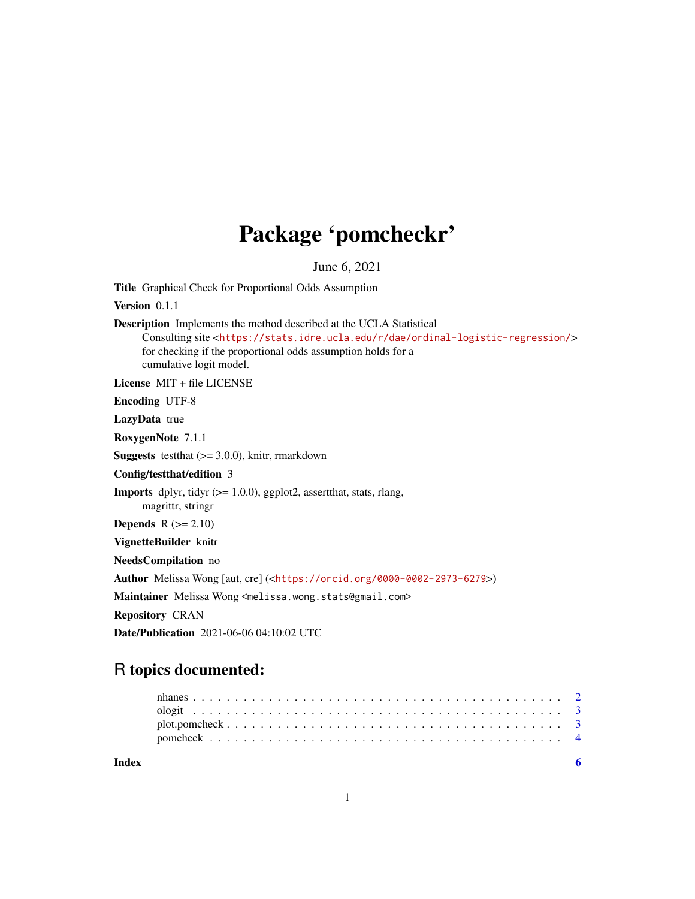## Package 'pomcheckr'

June 6, 2021

Title Graphical Check for Proportional Odds Assumption Version 0.1.1 Description Implements the method described at the UCLA Statistical Consulting site <<https://stats.idre.ucla.edu/r/dae/ordinal-logistic-regression/>> for checking if the proportional odds assumption holds for a cumulative logit model. License MIT + file LICENSE Encoding UTF-8 LazyData true RoxygenNote 7.1.1 **Suggests** testthat  $(>= 3.0.0)$ , knitr, rmarkdown Config/testthat/edition 3 **Imports** dplyr, tidyr  $(>= 1.0.0)$ , ggplot2, assertthat, stats, rlang, magrittr, stringr Depends  $R (= 2.10)$ VignetteBuilder knitr NeedsCompilation no Author Melissa Wong [aut, cre] (<<https://orcid.org/0000-0002-2973-6279>>) Maintainer Melissa Wong <melissa.wong.stats@gmail.com> Repository CRAN Date/Publication 2021-06-06 04:10:02 UTC

### R topics documented:

| Index |  |  |  |  |  |  |  |  |  |  |  |  |  |  |  |  |  |
|-------|--|--|--|--|--|--|--|--|--|--|--|--|--|--|--|--|--|
|       |  |  |  |  |  |  |  |  |  |  |  |  |  |  |  |  |  |
|       |  |  |  |  |  |  |  |  |  |  |  |  |  |  |  |  |  |
|       |  |  |  |  |  |  |  |  |  |  |  |  |  |  |  |  |  |
|       |  |  |  |  |  |  |  |  |  |  |  |  |  |  |  |  |  |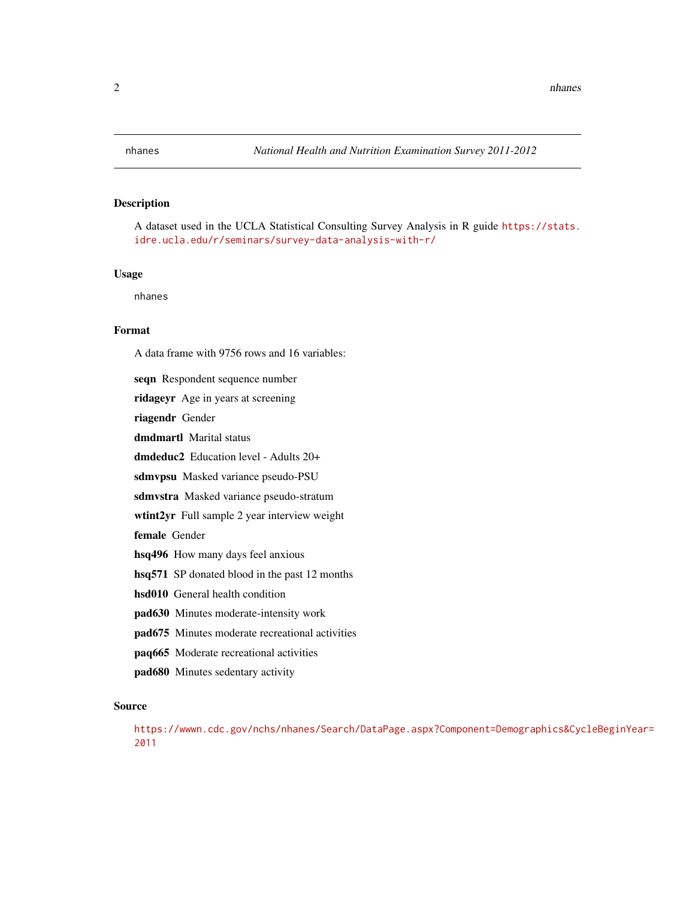<span id="page-1-0"></span>

#### Description

A dataset used in the UCLA Statistical Consulting Survey Analysis in R guide [https://stats.](https://stats.idre.ucla.edu/r/seminars/survey-data-analysis-with-r/) [idre.ucla.edu/r/seminars/survey-data-analysis-with-r/](https://stats.idre.ucla.edu/r/seminars/survey-data-analysis-with-r/)

#### Usage

nhanes

#### Format

A data frame with 9756 rows and 16 variables:

seqn Respondent sequence number

ridageyr Age in years at screening

riagendr Gender

dmdmartl Marital status

dmdeduc2 Education level - Adults 20+

sdmvpsu Masked variance pseudo-PSU

sdmvstra Masked variance pseudo-stratum

wtint2yr Full sample 2 year interview weight

#### female Gender

hsq496 How many days feel anxious

hsq571 SP donated blood in the past 12 months

- hsd010 General health condition
- pad630 Minutes moderate-intensity work
- pad675 Minutes moderate recreational activities
- paq665 Moderate recreational activities
- pad680 Minutes sedentary activity

#### Source

[https://wwwn.cdc.gov/nchs/nhanes/Search/DataPage.aspx?Component=Demographics&Cyc](https://wwwn.cdc.gov/nchs/nhanes/Search/DataPage.aspx?Component=Demographics&CycleBeginYear=2011)leBeginYear= [2011](https://wwwn.cdc.gov/nchs/nhanes/Search/DataPage.aspx?Component=Demographics&CycleBeginYear=2011)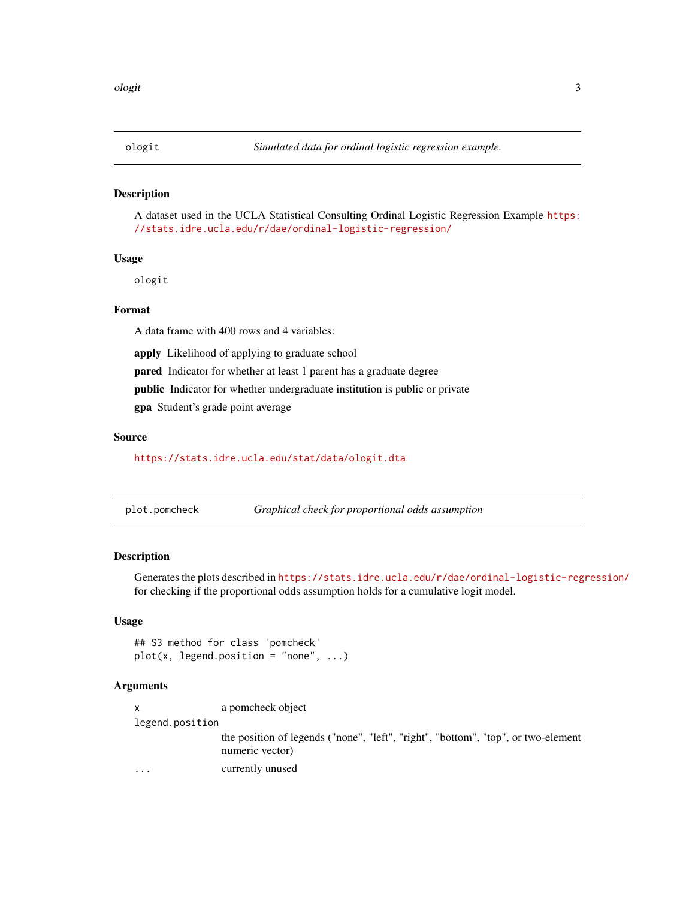#### <span id="page-2-0"></span>Description

A dataset used in the UCLA Statistical Consulting Ordinal Logistic Regression Example [https:](https://stats.idre.ucla.edu/r/dae/ordinal-logistic-regression/) [//stats.idre.ucla.edu/r/dae/ordinal-logistic-regression/](https://stats.idre.ucla.edu/r/dae/ordinal-logistic-regression/)

#### Usage

ologit

#### Format

A data frame with 400 rows and 4 variables:

apply Likelihood of applying to graduate school

**pared** Indicator for whether at least 1 parent has a graduate degree

public Indicator for whether undergraduate institution is public or private

gpa Student's grade point average

#### Source

<https://stats.idre.ucla.edu/stat/data/ologit.dta>

<span id="page-2-1"></span>

#### Description

Generates the plots described in <https://stats.idre.ucla.edu/r/dae/ordinal-logistic-regression/> for checking if the proportional odds assumption holds for a cumulative logit model.

#### Usage

```
## S3 method for class 'pomcheck'
plot(x, legend.position = "none", ...)
```
#### Arguments

x a pomcheck object legend.position the position of legends ("none", "left", "right", "bottom", "top", or two-element numeric vector) ... currently unused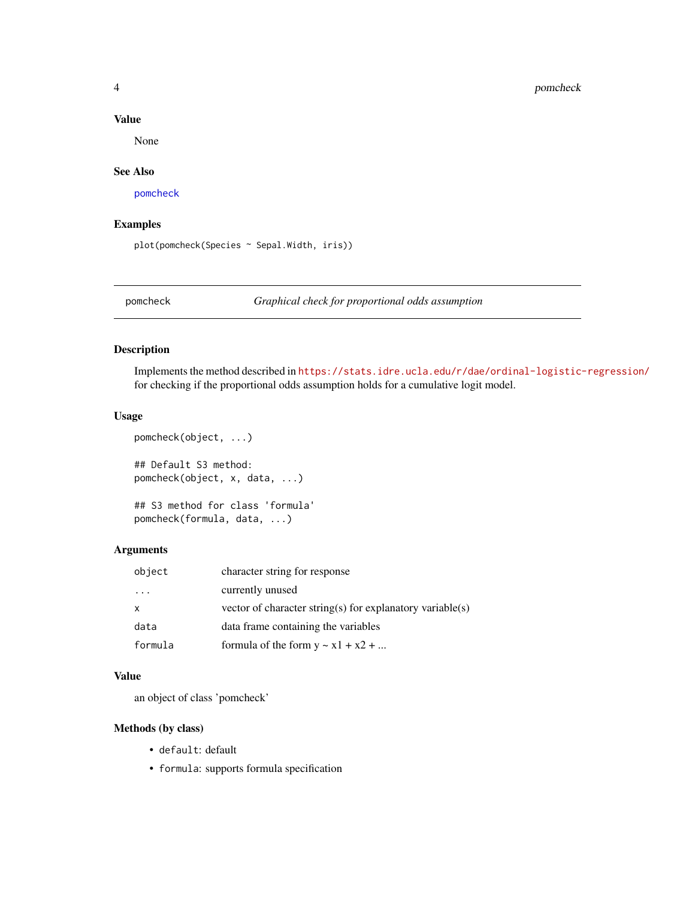#### Value

None

#### See Also

[pomcheck](#page-3-1)

#### Examples

```
plot(pomcheck(Species ~ Sepal.Width, iris))
```
<span id="page-3-1"></span>pomcheck *Graphical check for proportional odds assumption*

#### Description

Implements the method described in <https://stats.idre.ucla.edu/r/dae/ordinal-logistic-regression/> for checking if the proportional odds assumption holds for a cumulative logit model.

#### Usage

```
pomcheck(object, ...)
## Default S3 method:
pomcheck(object, x, data, ...)
## S3 method for class 'formula'
```
pomcheck(formula, data, ...)

#### Arguments

| object  | character string for response                             |
|---------|-----------------------------------------------------------|
| .       | currently unused                                          |
| X       | vector of character string(s) for explanatory variable(s) |
| data    | data frame containing the variables                       |
| formula | formula of the form $y \sim x1 + x2 + $                   |

#### Value

an object of class 'pomcheck'

#### Methods (by class)

- default: default
- formula: supports formula specification

<span id="page-3-0"></span>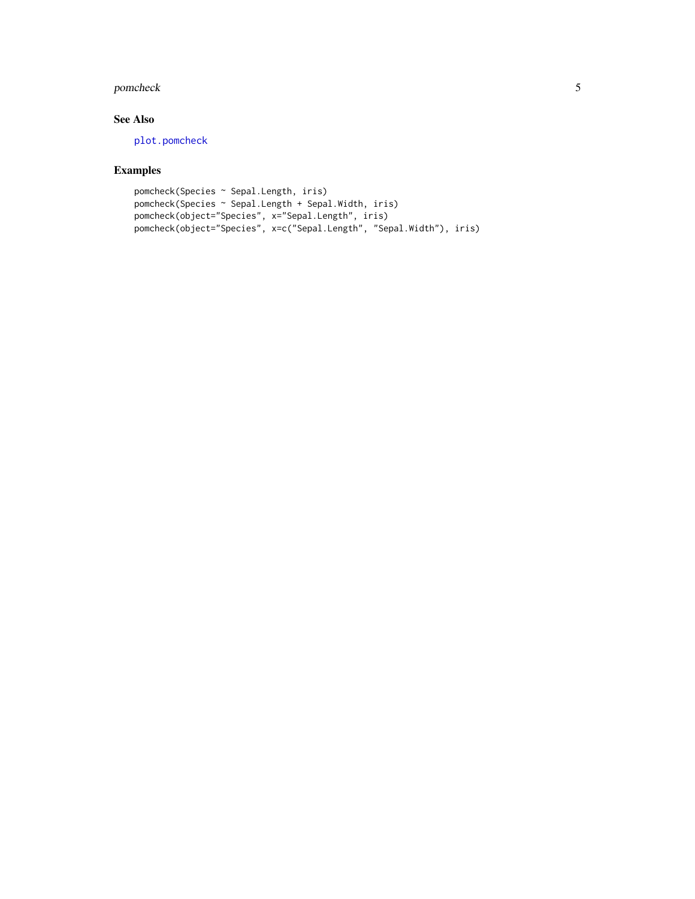#### <span id="page-4-0"></span>pomcheck 5

#### See Also

[plot.pomcheck](#page-2-1)

#### Examples

```
pomcheck(Species ~ Sepal.Length, iris)
pomcheck(Species ~ Sepal.Length + Sepal.Width, iris)
pomcheck(object="Species", x="Sepal.Length", iris)
pomcheck(object="Species", x=c("Sepal.Length", "Sepal.Width"), iris)
```